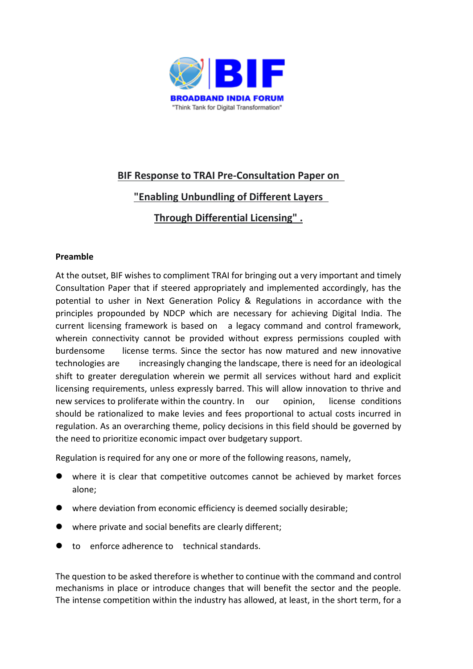

# **BIF Response to TRAI Pre-Consultation Paper on**

## **"Enabling Unbundling of Different Layers**

## **Through Differential Licensing" .**

### **Preamble**

At the outset, BIF wishes to compliment TRAI for bringing out a very important and timely Consultation Paper that if steered appropriately and implemented accordingly, has the potential to usher in Next Generation Policy & Regulations in accordance with the principles propounded by NDCP which are necessary for achieving Digital India. The current licensing framework is based on a legacy command and control framework, wherein connectivity cannot be provided without express permissions coupled with burdensome license terms. Since the sector has now matured and new innovative technologies are increasingly changing the landscape, there is need for an ideological shift to greater deregulation wherein we permit all services without hard and explicit licensing requirements, unless expressly barred. This will allow innovation to thrive and new services to proliferate within the country. In our opinion, license conditions should be rationalized to make levies and fees proportional to actual costs incurred in regulation. As an overarching theme, policy decisions in this field should be governed by the need to prioritize economic impact over budgetary support.

Regulation is required for any one or more of the following reasons, namely,

- ⚫ where it is clear that competitive outcomes cannot be achieved by market forces alone;
- where deviation from economic efficiency is deemed socially desirable;
- where private and social benefits are clearly different;
- ⚫ to enforce adherence to technical standards.

The question to be asked therefore is whether to continue with the command and control mechanisms in place or introduce changes that will benefit the sector and the people. The intense competition within the industry has allowed, at least, in the short term, for a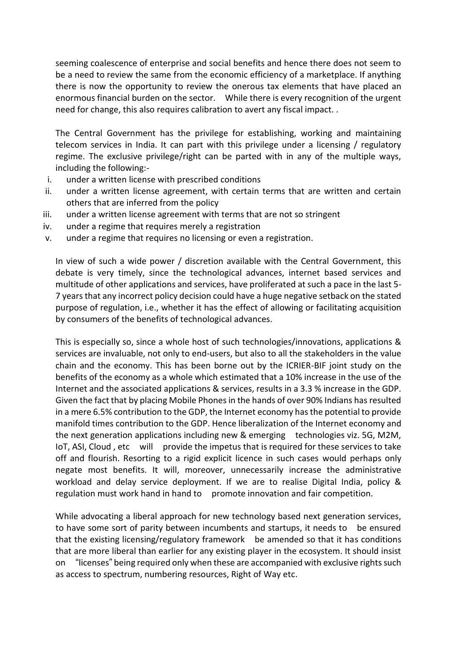seeming coalescence of enterprise and social benefits and hence there does not seem to be a need to review the same from the economic efficiency of a marketplace. If anything there is now the opportunity to review the onerous tax elements that have placed an enormous financial burden on the sector. While there is every recognition of the urgent need for change, this also requires calibration to avert any fiscal impact. .

The Central Government has the privilege for establishing, working and maintaining telecom services in India. It can part with this privilege under a licensing / regulatory regime. The exclusive privilege/right can be parted with in any of the multiple ways, including the following:-

- i. under a written license with prescribed conditions
- ii. under a written license agreement, with certain terms that are written and certain others that are inferred from the policy
- iii. under a written license agreement with terms that are not so stringent
- iv. under a regime that requires merely a registration
- v. under a regime that requires no licensing or even a registration.

In view of such a wide power / discretion available with the Central Government, this debate is very timely, since the technological advances, internet based services and multitude of other applications and services, have proliferated at such a pace in the last 5- 7 years that any incorrect policy decision could have a huge negative setback on the stated purpose of regulation, i.e., whether it has the effect of allowing or facilitating acquisition by consumers of the benefits of technological advances.

This is especially so, since a whole host of such technologies/innovations, applications & services are invaluable, not only to end-users, but also to all the stakeholders in the value chain and the economy. This has been borne out by the ICRIER-BIF joint study on the benefits of the economy as a whole which estimated that a 10% increase in the use of the Internet and the associated applications & services, results in a 3.3 % increase in the GDP. Given the fact that by placing Mobile Phones in the hands of over 90% Indians has resulted in a mere 6.5% contribution to the GDP, the Internet economy has the potential to provide manifold times contribution to the GDP. Hence liberalization of the Internet economy and the next generation applications including new & emerging technologies viz. 5G, M2M, IoT, ASI, Cloud, etc will provide the impetus that is required for these services to take off and flourish. Resorting to a rigid explicit licence in such cases would perhaps only negate most benefits. It will, moreover, unnecessarily increase the administrative workload and delay service deployment. If we are to realise Digital India, policy & regulation must work hand in hand to promote innovation and fair competition.

While advocating a liberal approach for new technology based next generation services, to have some sort of parity between incumbents and startups, it needs to be ensured that the existing licensing/regulatory framework be amended so that it has conditions that are more liberal than earlier for any existing player in the ecosystem. It should insist on "licenses" being required only when these are accompanied with exclusive rights such as access to spectrum, numbering resources, Right of Way etc.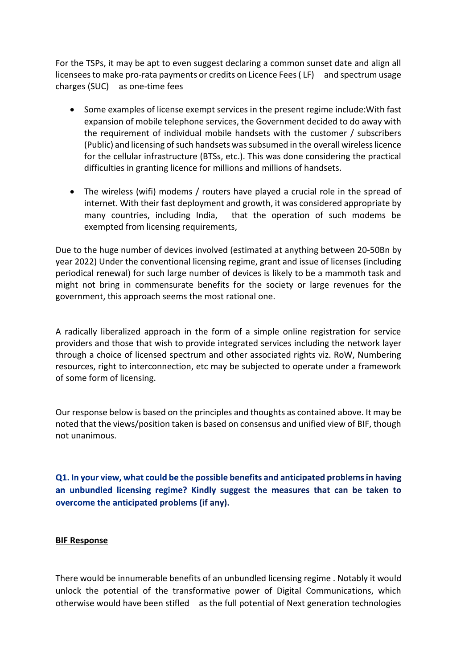For the TSPs, it may be apt to even suggest declaring a common sunset date and align all licensees to make pro-rata payments or credits on Licence Fees (LF) and spectrum usage charges (SUC) as one-time fees

- Some examples of license exempt services in the present regime include:With fast expansion of mobile telephone services, the Government decided to do away with the requirement of individual mobile handsets with the customer / subscribers (Public) and licensing of such handsets was subsumed in the overall wireless licence for the cellular infrastructure (BTSs, etc.). This was done considering the practical difficulties in granting licence for millions and millions of handsets.
- The wireless (wifi) modems / routers have played a crucial role in the spread of internet. With their fast deployment and growth, it was considered appropriate by many countries, including India, that the operation of such modems be exempted from licensing requirements,

Due to the huge number of devices involved (estimated at anything between 20-50Bn by year 2022) Under the conventional licensing regime, grant and issue of licenses (including periodical renewal) for such large number of devices is likely to be a mammoth task and might not bring in commensurate benefits for the society or large revenues for the government, this approach seems the most rational one.

A radically liberalized approach in the form of a simple online registration for service providers and those that wish to provide integrated services including the network layer through a choice of licensed spectrum and other associated rights viz. RoW, Numbering resources, right to interconnection, etc may be subjected to operate under a framework of some form of licensing.

Our response below is based on the principles and thoughts as contained above. It may be noted that the views/position taken is based on consensus and unified view of BIF, though not unanimous.

Q1. In your view, what could be the possible benefits and anticipated problems in having an unbundled licensing regime? Kindly suggest the measures that can be taken to overcome the anticipated problems (if any).

#### **BIF Response**

There would be innumerable benefits of an unbundled licensing regime . Notably it would unlock the potential of the transformative power of Digital Communications, which otherwise would have been stifled as the full potential of Next generation technologies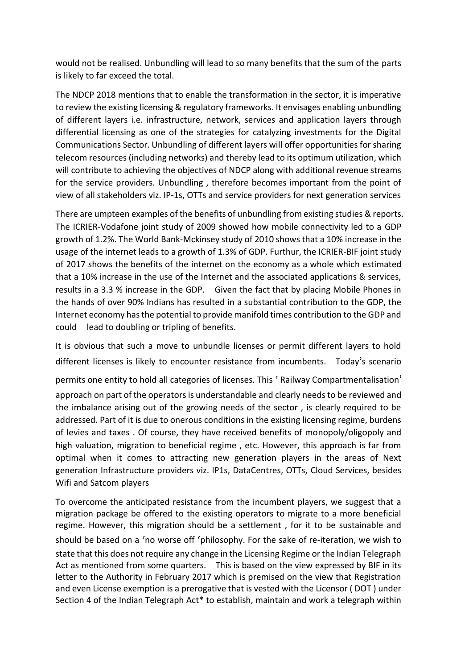would not be realised. Unbundling will lead to so many benefits that the sum of the parts is likely to far exceed the total.

The NDCP 2018 mentions that to enable the transformation in the sector, it is imperative to review the existing licensing & regulatory frameworks. It envisages enabling unbundling of different layers i.e. infrastructure, network, services and application layers through differential licensing as one of the strategies for catalyzing investments for the Digital Communications Sector. Unbundling of different layers will offer opportunities for sharing telecom resources (including networks) and thereby lead to its optimum utilization, which will contribute to achieving the objectives of NDCP along with additional revenue streams for the service providers. Unbundling , therefore becomes important from the point of view of all stakeholders viz. IP-1s, OTTs and service providers for next generation services

There are umpteen examples of the benefits of unbundling from existing studies & reports. The ICRIER-Vodafone joint study of 2009 showed how mobile connectivity led to a GDP growth of 1.2%. The World Bank-Mckinsey study of 2010 shows that a 10% increase in the usage of the internet leads to a growth of 1.3% of GDP. Furthur, the ICRIER-BIF joint study of 2017 shows the benefits of the internet on the economy as a whole which estimated that a 10% increase in the use of the Internet and the associated applications & services, results in a 3.3 % increase in the GDP. Given the fact that by placing Mobile Phones in the hands of over 90% Indians has resulted in a substantial contribution to the GDP, the Internet economy has the potential to provide manifold times contribution to the GDP and could lead to doubling or tripling of benefits.

It is obvious that such a move to unbundle licenses or permit different layers to hold different licenses is likely to encounter resistance from incumbents. Today's scenario

permits one entity to hold all categories of licenses. This ' Railway Compartmentalisation' approach on part of the operators is understandable and clearly needs to be reviewed and the imbalance arising out of the growing needs of the sector , is clearly required to be addressed. Part of it is due to onerous conditions in the existing licensing regime, burdens of levies and taxes . Of course, they have received benefits of monopoly/oligopoly and high valuation, migration to beneficial regime , etc. However, this approach is far from optimal when it comes to attracting new generation players in the areas of Next generation Infrastructure providers viz. IP1s, DataCentres, OTTs, Cloud Services, besides Wifi and Satcom players

To overcome the anticipated resistance from the incumbent players, we suggest that a migration package be offered to the existing operators to migrate to a more beneficial regime. However, this migration should be a settlement , for it to be sustainable and should be based on a 'no worse off 'philosophy. For the sake of re-iteration, we wish to state that this does not require any change in the Licensing Regime or the Indian Telegraph Act as mentioned from some quarters. This is based on the view expressed by BIF in its letter to the Authority in February 2017 which is premised on the view that Registration and even License exemption is a prerogative that is vested with the Licensor ( DOT ) under Section 4 of the Indian Telegraph Act\* to establish, maintain and work a telegraph within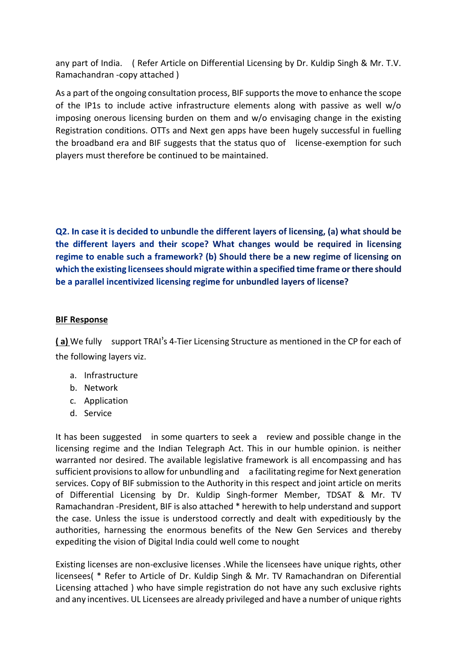any part of India. ( Refer Article on Differential Licensing by Dr. Kuldip Singh & Mr. T.V. Ramachandran -copy attached )

As a part of the ongoing consultation process, BIF supports the move to enhance the scope of the IP1s to include active infrastructure elements along with passive as well w/o imposing onerous licensing burden on them and w/o envisaging change in the existing Registration conditions. OTTs and Next gen apps have been hugely successful in fuelling the broadband era and BIF suggests that the status quo of license-exemption for such players must therefore be continued to be maintained.

Q2. In case it is decided to unbundle the different layers of licensing, (a) what should be the different layers and their scope? What changes would be required in licensing regime to enable such a framework? (b) Should there be a new regime of licensing on which the existing licensees should migrate within a specified time frame or there should be a parallel incentivized licensing regime for unbundled layers of license?

#### **BIF Response**

**( a)** We fully support TRAI's 4-Tier Licensing Structure as mentioned in the CP for each of the following layers viz.

- a. Infrastructure
- b. Network
- c. Application
- d. Service

It has been suggested in some quarters to seek a review and possible change in the licensing regime and the Indian Telegraph Act. This in our humble opinion. is neither warranted nor desired. The available legislative framework is all encompassing and has sufficient provisions to allow for unbundling and a facilitating regime for Next generation services. Copy of BIF submission to the Authority in this respect and joint article on merits of Differential Licensing by Dr. Kuldip Singh-former Member, TDSAT & Mr. TV Ramachandran -President, BIF is also attached \* herewith to help understand and support the case. Unless the issue is understood correctly and dealt with expeditiously by the authorities, harnessing the enormous benefits of the New Gen Services and thereby expediting the vision of Digital India could well come to nought

Existing licenses are non-exclusive licenses .While the licensees have unique rights, other licensees( \* Refer to Article of Dr. Kuldip Singh & Mr. TV Ramachandran on Diferential Licensing attached ) who have simple registration do not have any such exclusive rights and any incentives. UL Licensees are already privileged and have a number of unique rights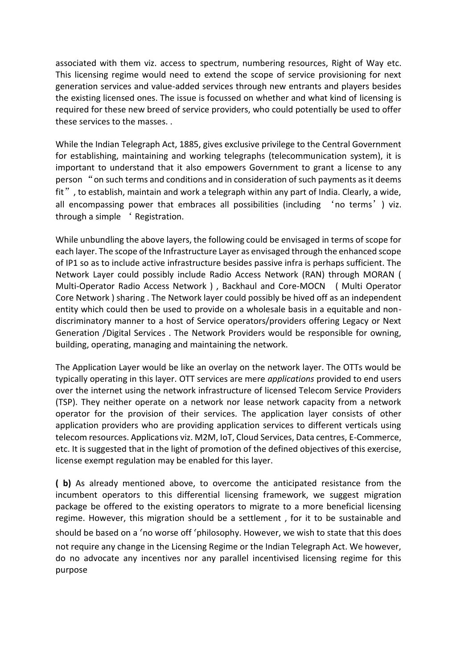associated with them viz. access to spectrum, numbering resources, Right of Way etc. This licensing regime would need to extend the scope of service provisioning for next generation services and value-added services through new entrants and players besides the existing licensed ones. The issue is focussed on whether and what kind of licensing is required for these new breed of service providers, who could potentially be used to offer these services to the masses. .

While the Indian Telegraph Act, 1885, gives exclusive privilege to the Central Government for establishing, maintaining and working telegraphs (telecommunication system), it is important to understand that it also empowers Government to grant a license to any person "on such terms and conditions and in consideration of such payments as it deems fit", to establish, maintain and work a telegraph within any part of India. Clearly, a wide, all encompassing power that embraces all possibilities (including 'no terms') viz. through a simple ' Registration.

While unbundling the above layers, the following could be envisaged in terms of scope for each layer. The scope of the Infrastructure Layer as envisaged through the enhanced scope of IP1 so as to include active infrastructure besides passive infra is perhaps sufficient. The Network Layer could possibly include Radio Access Network (RAN) through MORAN ( Multi-Operator Radio Access Network ) , Backhaul and Core-MOCN ( Multi Operator Core Network ) sharing . The Network layer could possibly be hived off as an independent entity which could then be used to provide on a wholesale basis in a equitable and nondiscriminatory manner to a host of Service operators/providers offering Legacy or Next Generation /Digital Services . The Network Providers would be responsible for owning, building, operating, managing and maintaining the network.

The Application Layer would be like an overlay on the network layer. The OTTs would be typically operating in this layer. OTT services are mere *applications* provided to end users over the internet using the network infrastructure of licensed Telecom Service Providers (TSP). They neither operate on a network nor lease network capacity from a network operator for the provision of their services. The application layer consists of other application providers who are providing application services to different verticals using telecom resources. Applications viz. M2M, IoT, Cloud Services, Data centres, E-Commerce, etc. It is suggested that in the light of promotion of the defined objectives of this exercise, license exempt regulation may be enabled for this layer.

**( b)** As already mentioned above, to overcome the anticipated resistance from the incumbent operators to this differential licensing framework, we suggest migration package be offered to the existing operators to migrate to a more beneficial licensing regime. However, this migration should be a settlement , for it to be sustainable and should be based on a 'no worse off 'philosophy. However, we wish to state that this does not require any change in the Licensing Regime or the Indian Telegraph Act. We however, do no advocate any incentives nor any parallel incentivised licensing regime for this purpose